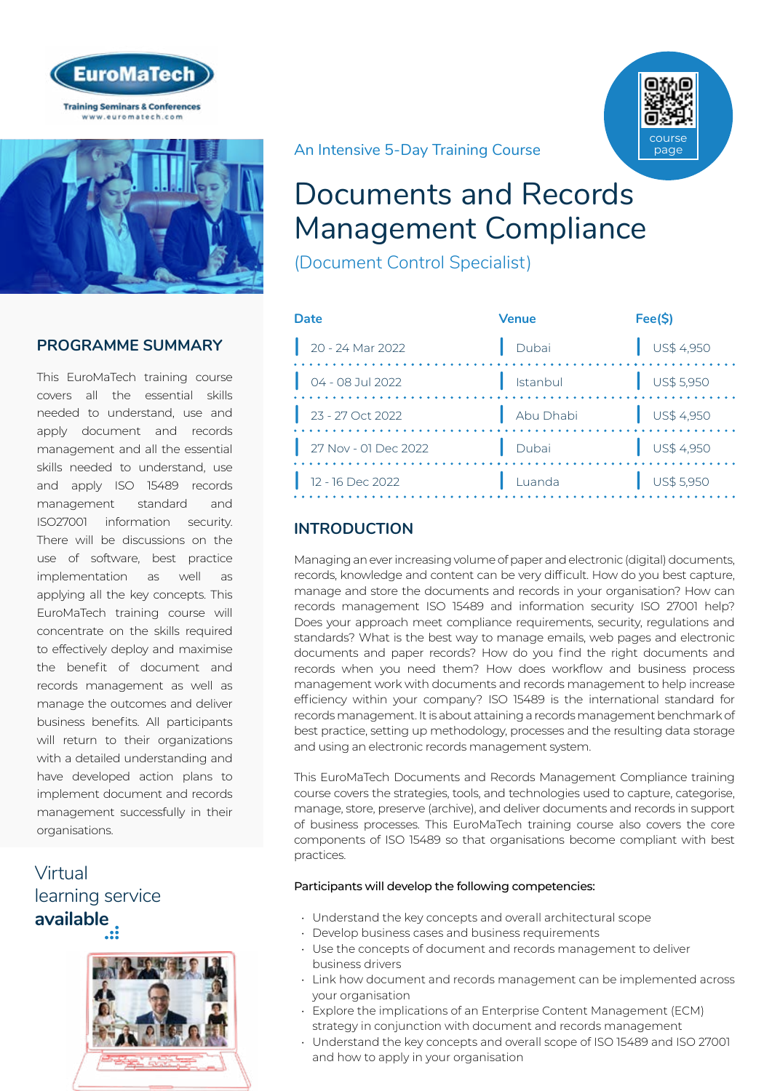



# **PROGRAMME SUMMARY**

This EuroMaTech training course covers all the essential skills needed to understand, use and apply document and records management and all the essential skills needed to understand, use and apply ISO 15489 records management standard and ISO27001 information security. There will be discussions on the use of software, best practice implementation as well as applying all the key concepts. This EuroMaTech training course will concentrate on the skills required to effectively deploy and maximise the benefit of document and records management as well as manage the outcomes and deliver business benefits. All participants will return to their organizations with a detailed understanding and have developed action plans to implement document and records management successfully in their organisations.

Virtual [learning service](https://www.euromatech.com/seminars/documents-and-records-management-compliance/)  **available**



An Intensive 5-Day Training Course

# Documents and Records Management Compliance

(Document Control Specialist)

| Date |                      | <b>Venue</b> | Fee(S)                   |
|------|----------------------|--------------|--------------------------|
|      | $20 - 24$ Mar 2022   | Dubai        | $\bigcup$ US\$ 4,950     |
|      | 04 - 08 Jul 2022     | Istanbul     | $\frac{1}{2}$ US\$ 5,950 |
|      | 23 - 27 Oct 2022     | Abu Dhabi    | $\bigcup$ US\$ 4,950     |
|      | 27 Nov - 01 Dec 2022 | Dubai        | $\bigcup$ US\$ 4,950     |
|      | 12 - 16 Dec 2022     | Luanda       | US\$ 5,950               |

# **INTRODUCTION**

Managing an ever increasing volume of paper and electronic (digital) documents, records, knowledge and content can be very difficult. How do you best capture, manage and store the documents and records in your organisation? How can records management ISO 15489 and information security ISO 27001 help? Does your approach meet compliance requirements, security, regulations and standards? What is the best way to manage emails, web pages and electronic documents and paper records? How do you find the right documents and records when you need them? How does workflow and business process management work with documents and records management to help increase efficiency within your company? ISO 15489 is the international standard for records management. It is about attaining a records management benchmark of best practice, setting up methodology, processes and the resulting data storage and using an electronic records management system.

This EuroMaTech Documents and Records Management Compliance training course covers the strategies, tools, and technologies used to capture, categorise, manage, store, preserve (archive), and deliver documents and records in support of business processes. This EuroMaTech training course also covers the core components of ISO 15489 so that organisations become compliant with best practices.

### Participants will develop the following competencies:

- Understand the key concepts and overall architectural scope
- Develop business cases and business requirements
- Use the concepts of document and records management to deliver business drivers
- Link how document and records management can be implemented across your organisation
- Explore the implications of an Enterprise Content Management (ECM) strategy in conjunction with document and records management
- Understand the key concepts and overall scope of ISO 15489 and ISO 27001 and how to apply in your organisation

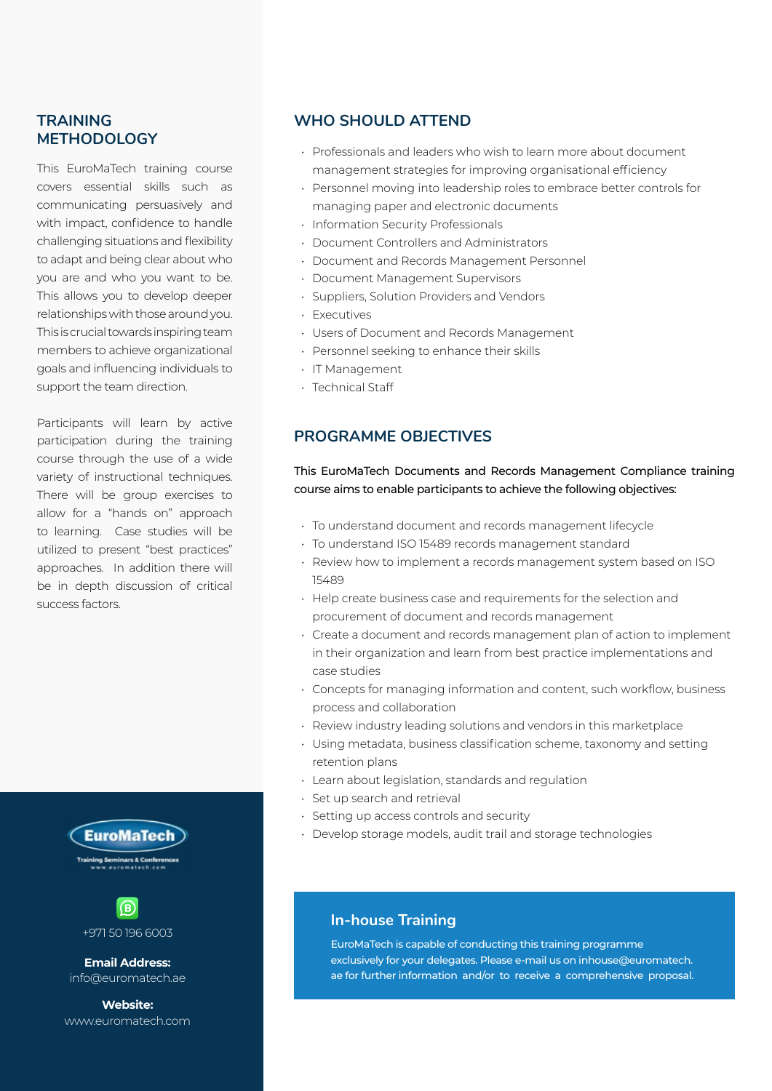## **TRAINING METHODOLOGY**

This EuroMaTech training course covers essential skills such as communicating persuasively and with impact, confidence to handle challenging situations and flexibility to adapt and being clear about who you are and who you want to be. This allows you to develop deeper relationships with those around you. This is crucial towards inspiring team members to achieve organizational goals and influencing individuals to support the team direction.

Participants will learn by active participation during the training course through the use of a wide variety of instructional techniques. There will be group exercises to allow for a "hands on" approach to learning. Case studies will be utilized to present "best practices" approaches. In addition there will be in depth discussion of critical success factors.





+971 50 196 6003

**Email Address:** info@euromatech.ae

**Website:** www.euromatech.com

## **WHO SHOULD ATTEND**

- Professionals and leaders who wish to learn more about document management strategies for improving organisational efficiency
- Personnel moving into leadership roles to embrace better controls for managing paper and electronic documents
- Information Security Professionals
- Document Controllers and Administrators
- Document and Records Management Personnel
- Document Management Supervisors
- Suppliers, Solution Providers and Vendors
- Executives
- Users of Document and Records Management
- Personnel seeking to enhance their skills
- IT Management
- Technical Staff

## **PROGRAMME OBJECTIVES**

### This EuroMaTech Documents and Records Management Compliance training course aims to enable participants to achieve the following objectives:

- To understand document and records management lifecycle
- To understand ISO 15489 records management standard
- Review how to implement a records management system based on ISO 15489
- Help create business case and requirements for the selection and procurement of document and records management
- Create a document and records management plan of action to implement in their organization and learn from best practice implementations and case studies
- Concepts for managing information and content, such workflow, business process and collaboration
- Review industry leading solutions and vendors in this marketplace
- Using metadata, business classification scheme, taxonomy and setting retention plans
- Learn about legislation, standards and regulation
- Set up search and retrieval
- Setting up access controls and security
- Develop storage models, audit trail and storage technologies

## **In-house Training**

EuroMaTech is capable of conducting this training programme exclusively for your delegates. Please e-mail us on inhouse@euromatech. ae for further information and/or to receive a comprehensive proposal.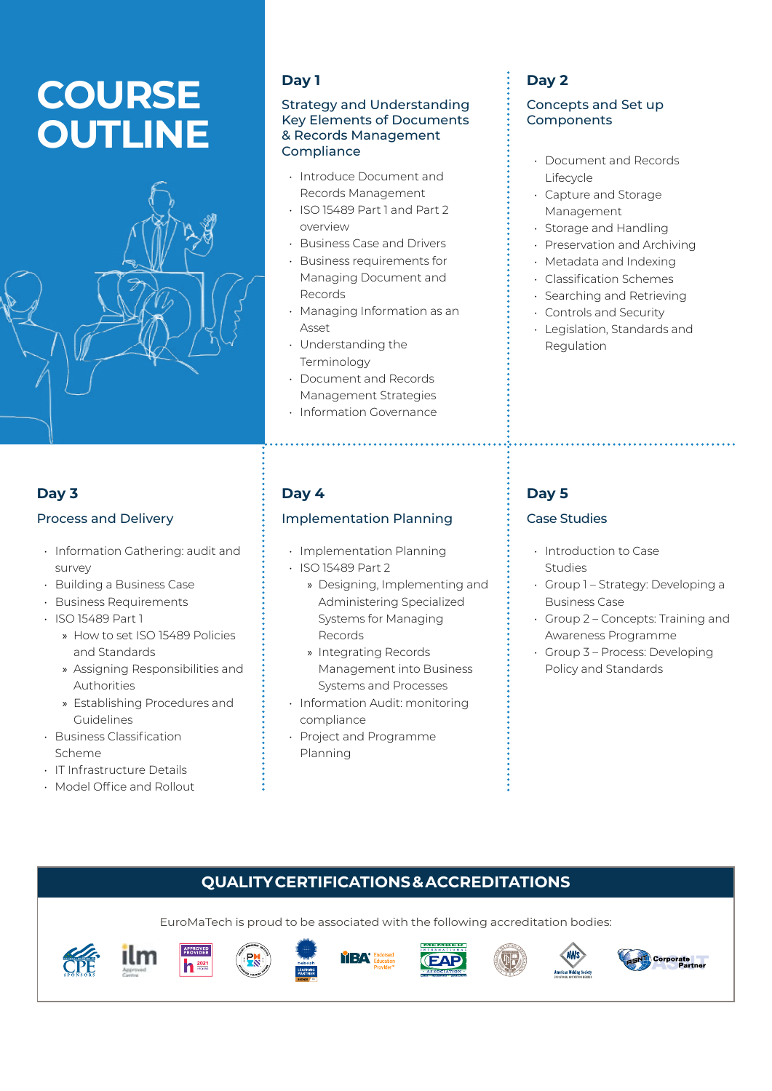# **COURSE OUTLINE**



# **Day 1**

#### Strategy and Understanding Key Elements of Documents & Records Management Compliance

- Introduce Document and Records Management
- ISO 15489 Part 1 and Part 2 overview
- Business Case and Drivers
- Business requirements for Managing Document and Records
- Managing Information as an Asset
- Understanding the Terminology
- Document and Records Management Strategies
- Information Governance

# **Day 3**

## Process and Delivery

- Information Gathering: audit and survey
- Building a Business Case
- Business Requirements
- ISO 15489 Part 1
	- » How to set ISO 15489 Policies and Standards
	- » Assigning Responsibilities and Authorities
	- » Establishing Procedures and Guidelines
- Business Classification Scheme
- IT Infrastructure Details
- Model Office and Rollout

# **Day 4**

## Implementation Planning

- Implementation Planning • ISO 15489 Part 2
	- » Designing, Implementing and Administering Specialized Systems for Managing Records
	- » Integrating Records Management into Business Systems and Processes
- Information Audit: monitoring compliance
- Project and Programme Planning

# **Day 2**

## Concepts and Set up **Components**

- Document and Records Lifecycle
- Capture and Storage Management
- Storage and Handling
- Preservation and Archiving
- Metadata and Indexing
- Classification Schemes
- Searching and Retrieving
- Controls and Security
- Legislation, Standards and Regulation

# **Day 5**

## Case Studies

- Introduction to Case Studies
- Group 1 Strategy: Developing a Business Case
- Group 2 Concepts: Training and Awareness Programme
- Group 3 Process: Developing Policy and Standards

# **QUALITY CERTIFICATIONS & ACCREDITATIONS**

EuroMaTech is proud to be associated with the following accreditation bodies:

**TEA**®